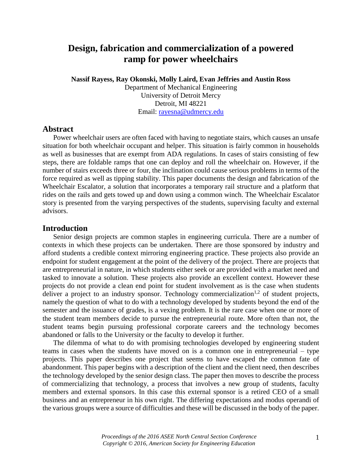# **Design, fabrication and commercialization of a powered ramp for power wheelchairs**

**Nassif Rayess, Ray Okonski, Molly Laird, Evan Jeffries and Austin Ross**

Department of Mechanical Engineering University of Detroit Mercy Detroit, MI 48221 Email: [rayesna@udmercy.edu](mailto:rayesna@udmercy.edu)

### **Abstract**

Power wheelchair users are often faced with having to negotiate stairs, which causes an unsafe situation for both wheelchair occupant and helper. This situation is fairly common in households as well as businesses that are exempt from ADA regulations. In cases of stairs consisting of few steps, there are foldable ramps that one can deploy and roll the wheelchair on. However, if the number of stairs exceeds three or four, the inclination could cause serious problems in terms of the force required as well as tipping stability. This paper documents the design and fabrication of the Wheelchair Escalator, a solution that incorporates a temporary rail structure and a platform that rides on the rails and gets towed up and down using a common winch. The Wheelchair Escalator story is presented from the varying perspectives of the students, supervising faculty and external advisors.

## **Introduction**

Senior design projects are common staples in engineering curricula. There are a number of contexts in which these projects can be undertaken. There are those sponsored by industry and afford students a credible context mirroring engineering practice. These projects also provide an endpoint for student engagement at the point of the delivery of the project. There are projects that are entrepreneurial in nature, in which students either seek or are provided with a market need and tasked to innovate a solution. These projects also provide an excellent context. However these projects do not provide a clean end point for student involvement as is the case when students deliver a project to an industry sponsor. Technology commercialization<sup>1,2</sup> of student projects, namely the question of what to do with a technology developed by students beyond the end of the semester and the issuance of grades, is a vexing problem. It is the rare case when one or more of the student team members decide to pursue the entrepreneurial route. More often than not, the student teams begin pursuing professional corporate careers and the technology becomes abandoned or falls to the University or the faculty to develop it further.

The dilemma of what to do with promising technologies developed by engineering student teams in cases when the students have moved on is a common one in entrepreneurial – type projects. This paper describes one project that seems to have escaped the common fate of abandonment. This paper begins with a description of the client and the client need, then describes the technology developed by the senior design class. The paper then moves to describe the process of commercializing that technology, a process that involves a new group of students, faculty members and external sponsors. In this case this external sponsor is a retired CEO of a small business and an entrepreneur in his own right. The differing expectations and modus operandi of the various groups were a source of difficulties and these will be discussed in the body of the paper.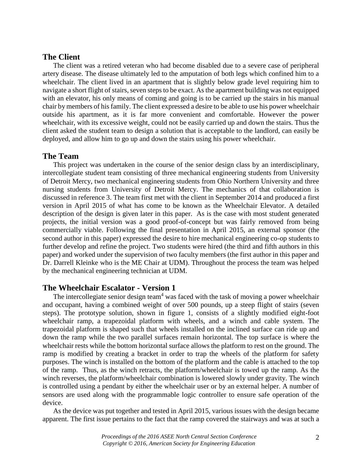# **The Client**

The client was a retired veteran who had become disabled due to a severe case of peripheral artery disease. The disease ultimately led to the amputation of both legs which confined him to a wheelchair. The client lived in an apartment that is slightly below grade level requiring him to navigate a short flight of stairs, seven steps to be exact. As the apartment building was not equipped with an elevator, his only means of coming and going is to be carried up the stairs in his manual chair by members of his family. The client expressed a desire to be able to use his power wheelchair outside his apartment, as it is far more convenient and comfortable. However the power wheelchair, with its excessive weight, could not be easily carried up and down the stairs. Thus the client asked the student team to design a solution that is acceptable to the landlord, can easily be deployed, and allow him to go up and down the stairs using his power wheelchair.

# **The Team**

This project was undertaken in the course of the senior design class by an interdisciplinary, intercollegiate student team consisting of three mechanical engineering students from University of Detroit Mercy, two mechanical engineering students from Ohio Northern University and three nursing students from University of Detroit Mercy. The mechanics of that collaboration is discussed in reference 3. The team first met with the client in September 2014 and produced a first version in April 2015 of what has come to be known as the Wheelchair Elevator. A detailed description of the design is given later in this paper. As is the case with most student generated projects, the initial version was a good proof-of-concept but was fairly removed from being commercially viable. Following the final presentation in April 2015, an external sponsor (the second author in this paper) expressed the desire to hire mechanical engineering co-op students to further develop and refine the project. Two students were hired (the third and fifth authors in this paper) and worked under the supervision of two faculty members (the first author in this paper and Dr. Darrell Kleinke who is the ME Chair at UDM). Throughout the process the team was helped by the mechanical engineering technician at UDM.

## **The Wheelchair Escalator - Version 1**

The intercollegiate senior design team<sup>4</sup> was faced with the task of moving a power wheelchair and occupant, having a combined weight of over 500 pounds, up a steep flight of stairs (seven steps). The prototype solution, shown in figure 1, consists of a slightly modified eight-foot wheelchair ramp, a trapezoidal platform with wheels, and a winch and cable system. The trapezoidal platform is shaped such that wheels installed on the inclined surface can ride up and down the ramp while the two parallel surfaces remain horizontal. The top surface is where the wheelchair rests while the bottom horizontal surface allows the platform to rest on the ground. The ramp is modified by creating a bracket in order to trap the wheels of the platform for safety purposes. The winch is installed on the bottom of the platform and the cable is attached to the top of the ramp. Thus, as the winch retracts, the platform/wheelchair is towed up the ramp. As the winch reverses, the platform/wheelchair combination is lowered slowly under gravity. The winch is controlled using a pendant by either the wheelchair user or by an external helper. A number of sensors are used along with the programmable logic controller to ensure safe operation of the device.

As the device was put together and tested in April 2015, various issues with the design became apparent. The first issue pertains to the fact that the ramp covered the stairways and was at such a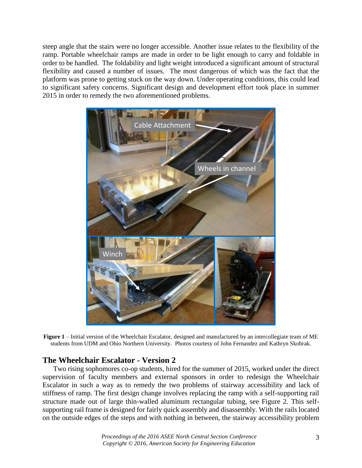steep angle that the stairs were no longer accessible. Another issue relates to the flexibility of the ramp. Portable wheelchair ramps are made in order to be light enough to carry and foldable in order to be handled. The foldability and light weight introduced a significant amount of structural flexibility and caused a number of issues. The most dangerous of which was the fact that the platform was prone to getting stuck on the way down. Under operating conditions, this could lead to significant safety concerns. Significant design and development effort took place in summer 2015 in order to remedy the two aforementioned problems.



**Figure 1** – Initial version of the Wheelchair Escalator, designed and manufactured by an intercollegiate team of ME students from UDM and Ohio Northern University. Photos courtesy of John Fernandez and Kathryn Skobrak.

# **The Wheelchair Escalator - Version 2**

Two rising sophomores co-op students, hired for the summer of 2015, worked under the direct supervision of faculty members and external sponsors in order to redesign the Wheelchair Escalator in such a way as to remedy the two problems of stairway accessibility and lack of stiffness of ramp. The first design change involves replacing the ramp with a self-supporting rail structure made out of large thin-walled aluminum rectangular tubing, see Figure 2. This selfsupporting rail frame is designed for fairly quick assembly and disassembly. With the rails located on the outside edges of the steps and with nothing in between, the stairway accessibility problem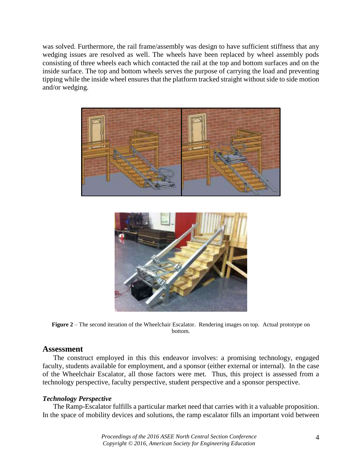was solved. Furthermore, the rail frame/assembly was design to have sufficient stiffness that any wedging issues are resolved as well. The wheels have been replaced by wheel assembly pods consisting of three wheels each which contacted the rail at the top and bottom surfaces and on the inside surface. The top and bottom wheels serves the purpose of carrying the load and preventing tipping while the inside wheel ensures that the platform tracked straight without side to side motion and/or wedging.





**Figure 2** – The second iteration of the Wheelchair Escalator. Rendering images on top. Actual prototype on bottom.

# **Assessment**

The construct employed in this this endeavor involves: a promising technology, engaged faculty, students available for employment, and a sponsor (either external or internal). In the case of the Wheelchair Escalator, all those factors were met. Thus, this project is assessed from a technology perspective, faculty perspective, student perspective and a sponsor perspective.

# *Technology Perspective*

The Ramp-Escalator fulfills a particular market need that carries with it a valuable proposition. In the space of mobility devices and solutions, the ramp escalator fills an important void between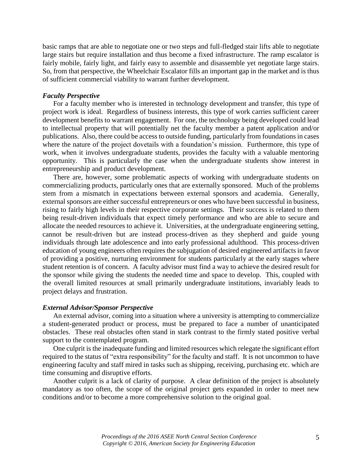basic ramps that are able to negotiate one or two steps and full-fledged stair lifts able to negotiate large stairs but require installation and thus become a fixed infrastructure. The ramp escalator is fairly mobile, fairly light, and fairly easy to assemble and disassemble yet negotiate large stairs. So, from that perspective, the Wheelchair Escalator fills an important gap in the market and is thus of sufficient commercial viability to warrant further development.

### *Faculty Perspective*

For a faculty member who is interested in technology development and transfer, this type of project work is ideal. Regardless of business interests, this type of work carries sufficient career development benefits to warrant engagement. For one, the technology being developed could lead to intellectual property that will potentially net the faculty member a patent application and/or publications. Also, there could be access to outside funding, particularly from foundations in cases where the nature of the project dovetails with a foundation's mission. Furthermore, this type of work, when it involves undergraduate students, provides the faculty with a valuable mentoring opportunity. This is particularly the case when the undergraduate students show interest in entrepreneurship and product development.

There are, however, some problematic aspects of working with undergraduate students on commercializing products, particularly ones that are externally sponsored. Much of the problems stem from a mismatch in expectations between external sponsors and academia. Generally, external sponsors are either successful entrepreneurs or ones who have been successful in business, rising to fairly high levels in their respective corporate settings. Their success is related to them being result-driven individuals that expect timely performance and who are able to secure and allocate the needed resources to achieve it. Universities, at the undergraduate engineering setting, cannot be result-driven but are instead process-driven as they shepherd and guide young individuals through late adolescence and into early professional adulthood. This process-driven education of young engineers often requires the subjugation of desired engineered artifacts in favor of providing a positive, nurturing environment for students particularly at the early stages where student retention is of concern. A faculty advisor must find a way to achieve the desired result for the sponsor while giving the students the needed time and space to develop. This, coupled with the overall limited resources at small primarily undergraduate institutions, invariably leads to project delays and frustration.

### *External Advisor/Sponsor Perspective*

An external advisor, coming into a situation where a university is attempting to commercialize a student-generated product or process, must be prepared to face a number of unanticipated obstacles. These real obstacles often stand in stark contrast to the firmly stated positive verbal support to the contemplated program.

One culprit is the inadequate funding and limited resources which relegate the significant effort required to the status of "extra responsibility" for the faculty and staff. It is not uncommon to have engineering faculty and staff mired in tasks such as shipping, receiving, purchasing etc. which are time consuming and disruptive efforts.

Another culprit is a lack of clarity of purpose. A clear definition of the project is absolutely mandatory as too often, the scope of the original project gets expanded in order to meet new conditions and/or to become a more comprehensive solution to the original goal.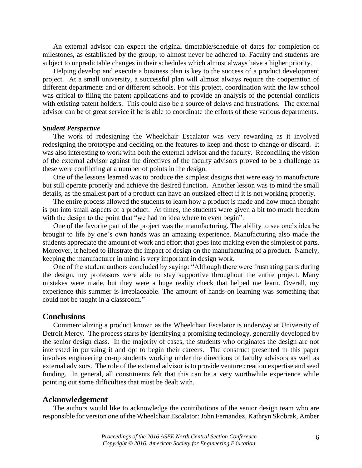An external advisor can expect the original timetable/schedule of dates for completion of milestones, as established by the group, to almost never be adhered to. Faculty and students are subject to unpredictable changes in their schedules which almost always have a higher priority.

Helping develop and execute a business plan is key to the success of a product development project. At a small university, a successful plan will almost always require the cooperation of different departments and or different schools. For this project, coordination with the law school was critical to filing the patent applications and to provide an analysis of the potential conflicts with existing patent holders. This could also be a source of delays and frustrations. The external advisor can be of great service if he is able to coordinate the efforts of these various departments.

#### *Student Perspective*

The work of redesigning the Wheelchair Escalator was very rewarding as it involved redesigning the prototype and deciding on the features to keep and those to change or discard. It was also interesting to work with both the external advisor and the faculty. Reconciling the vision of the external advisor against the directives of the faculty advisors proved to be a challenge as these were conflicting at a number of points in the design.

One of the lessons learned was to produce the simplest designs that were easy to manufacture but still operate properly and achieve the desired function. Another lesson was to mind the small details, as the smallest part of a product can have an outsized effect if it is not working properly.

The entire process allowed the students to learn how a product is made and how much thought is put into small aspects of a product. At times, the students were given a bit too much freedom with the design to the point that "we had no idea where to even begin".

One of the favorite part of the project was the manufacturing. The ability to see one's idea be brought to life by one's own hands was an amazing experience. Manufacturing also made the students appreciate the amount of work and effort that goes into making even the simplest of parts. Moreover, it helped to illustrate the impact of design on the manufacturing of a product. Namely, keeping the manufacturer in mind is very important in design work.

One of the student authors concluded by saying: "Although there were frustrating parts during the design, my professors were able to stay supportive throughout the entire project. Many mistakes were made, but they were a huge reality check that helped me learn. Overall, my experience this summer is irreplaceable. The amount of hands-on learning was something that could not be taught in a classroom."

#### **Conclusions**

Commercializing a product known as the Wheelchair Escalator is underway at University of Detroit Mercy. The process starts by identifying a promising technology, generally developed by the senior design class. In the majority of cases, the students who originates the design are not interested in pursuing it and opt to begin their careers. The construct presented in this paper involves engineering co-op students working under the directions of faculty advisors as well as external advisors. The role of the external advisor is to provide venture creation expertise and seed funding. In general, all constituents felt that this can be a very worthwhile experience while pointing out some difficulties that must be dealt with.

#### **Acknowledgement**

The authors would like to acknowledge the contributions of the senior design team who are responsible for version one of the Wheelchair Escalator:John Fernandez, Kathryn Skobrak, Amber